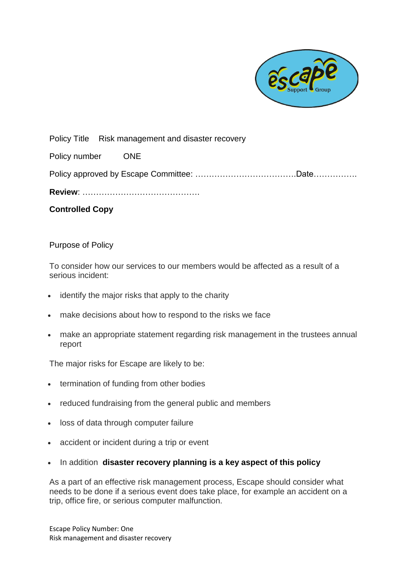

Policy Title Risk management and disaster recovery

Policy number ONE

Policy approved by Escape Committee: ……………………………….Date…………….

**Review**: …………………………………….

**Controlled Copy** 

## Purpose of Policy

To consider how our services to our members would be affected as a result of a serious incident:

- identify the major risks that apply to the charity
- make decisions about how to respond to the risks we face
- make an appropriate statement regarding risk management in the trustees annual report

The major risks for Escape are likely to be:

- termination of funding from other bodies
- reduced fundraising from the general public and members
- loss of data through computer failure
- accident or incident during a trip or event
- In addition **disaster recovery planning is a key aspect of this policy**

As a part of an effective risk management process, Escape should consider what needs to be done if a serious event does take place, for example an accident on a trip, office fire, or serious computer malfunction.

Escape Policy Number: One Risk management and disaster recovery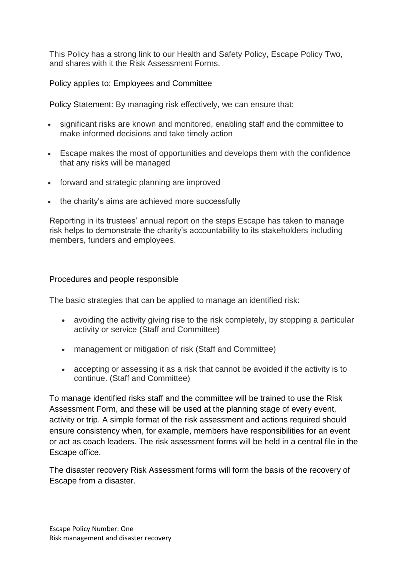This Policy has a strong link to our Health and Safety Policy, Escape Policy Two, and shares with it the Risk Assessment Forms.

Policy applies to: Employees and Committee

Policy Statement: By managing risk effectively, we can ensure that:

- significant risks are known and monitored, enabling staff and the committee to make informed decisions and take timely action
- Escape makes the most of opportunities and develops them with the confidence that any risks will be managed
- forward and strategic planning are improved
- the charity's aims are achieved more successfully

Reporting in its trustees' annual report on the steps Escape has taken to manage risk helps to demonstrate the charity's accountability to its stakeholders including members, funders and employees.

# Procedures and people responsible

The basic strategies that can be applied to manage an identified risk:

- avoiding the activity giving rise to the risk completely, by stopping a particular activity or service (Staff and Committee)
- management or mitigation of risk (Staff and Committee)
- accepting or assessing it as a risk that cannot be avoided if the activity is to continue. (Staff and Committee)

To manage identified risks staff and the committee will be trained to use the Risk Assessment Form, and these will be used at the planning stage of every event, activity or trip. A simple format of the risk assessment and actions required should ensure consistency when, for example, members have responsibilities for an event or act as coach leaders. The risk assessment forms will be held in a central file in the Escape office.

The disaster recovery Risk Assessment forms will form the basis of the recovery of Escape from a disaster.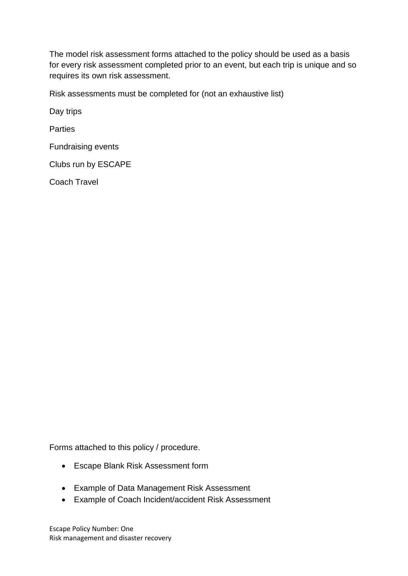The model risk assessment forms attached to the policy should be used as a basis for every risk assessment completed prior to an event, but each trip is unique and so requires its own risk assessment.

Risk assessments must be completed for (not an exhaustive list)

Day trips

**Parties** 

Fundraising events

Clubs run by ESCAPE

Coach Travel

Forms attached to this policy / procedure.

- Escape Blank Risk Assessment form
- Example of Data Management Risk Assessment
- Example of Coach Incident/accident Risk Assessment

Escape Policy Number: One Risk management and disaster recovery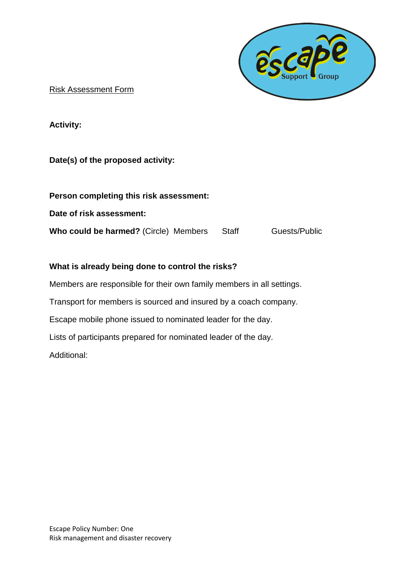

Risk Assessment Form

**Activity:**

# **Date(s) of the proposed activity:**

| Person completing this risk assessment:      |       |               |
|----------------------------------------------|-------|---------------|
| Date of risk assessment:                     |       |               |
| <b>Who could be harmed?</b> (Circle) Members | Staff | Guests/Public |

# **What is already being done to control the risks?**

Members are responsible for their own family members in all settings. Transport for members is sourced and insured by a coach company. Escape mobile phone issued to nominated leader for the day. Lists of participants prepared for nominated leader of the day. Additional: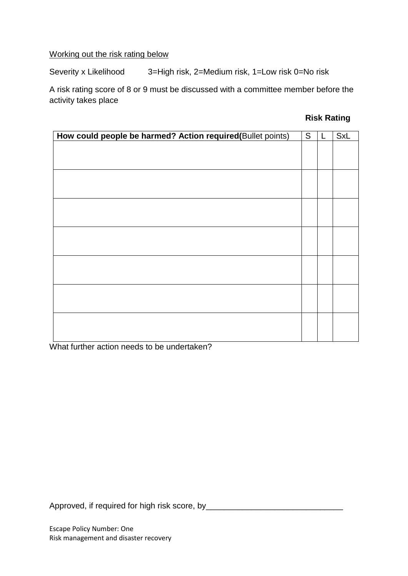# Working out the risk rating below

Severity x Likelihood 3=High risk, 2=Medium risk, 1=Low risk 0=No risk

A risk rating score of 8 or 9 must be discussed with a committee member before the activity takes place

#### **Risk Rating**

| How could people be harmed? Action required(Bullet points) | S | L | <b>SxL</b> |
|------------------------------------------------------------|---|---|------------|
|                                                            |   |   |            |
|                                                            |   |   |            |
|                                                            |   |   |            |
|                                                            |   |   |            |
|                                                            |   |   |            |
|                                                            |   |   |            |
|                                                            |   |   |            |
|                                                            |   |   |            |
|                                                            |   |   |            |
|                                                            |   |   |            |
|                                                            |   |   |            |
|                                                            |   |   |            |
|                                                            |   |   |            |
|                                                            |   |   |            |
|                                                            |   |   |            |
|                                                            |   |   |            |
|                                                            |   |   |            |
|                                                            |   |   |            |
|                                                            |   |   |            |
|                                                            |   |   |            |
|                                                            |   |   |            |
|                                                            |   |   |            |
|                                                            |   |   |            |

What further action needs to be undertaken?

Approved, if required for high risk score, by\_\_\_\_\_\_\_\_\_\_\_\_\_\_\_\_\_\_\_\_\_\_\_\_\_\_\_\_\_\_\_\_\_\_\_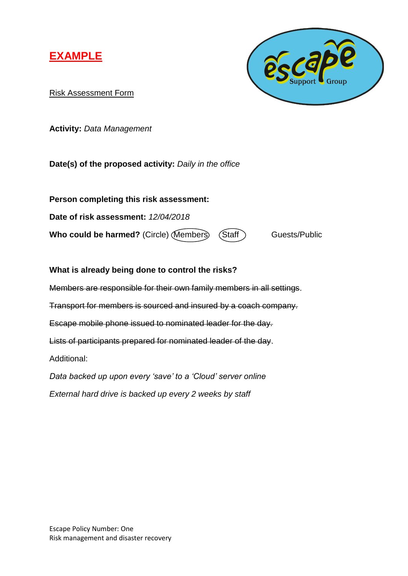



Risk Assessment Form

**Activity:** *Data Management*

**Date(s) of the proposed activity:** *Daily in the office*

**Person completing this risk assessment: Date of risk assessment:** *12/04/2018* **Who could be harmed?** (Circle) (Members) (Staff ) Guests/Public

**What is already being done to control the risks?** Members are responsible for their own family members in all settings. Transport for members is sourced and insured by a coach company. Escape mobile phone issued to nominated leader for the day. Lists of participants prepared for nominated leader of the day. Additional: *Data backed up upon every 'save' to a 'Cloud' server online*

*External hard drive is backed up every 2 weeks by staff*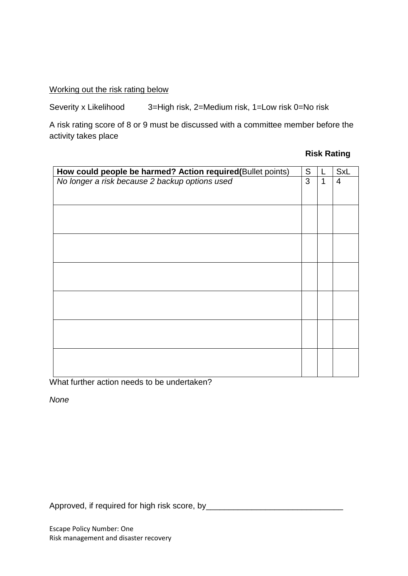Working out the risk rating below

Severity x Likelihood 3=High risk, 2=Medium risk, 1=Low risk 0=No risk

A risk rating score of 8 or 9 must be discussed with a committee member before the activity takes place

## **Risk Rating**

| How could people be harmed? Action required(Bullet points) | ${\mathsf S}$ |   | <b>SxL</b>     |
|------------------------------------------------------------|---------------|---|----------------|
| No longer a risk because 2 backup options used             | 3             | 1 | $\overline{4}$ |
|                                                            |               |   |                |
|                                                            |               |   |                |
|                                                            |               |   |                |
|                                                            |               |   |                |
|                                                            |               |   |                |
|                                                            |               |   |                |
|                                                            |               |   |                |
|                                                            |               |   |                |
|                                                            |               |   |                |
|                                                            |               |   |                |
|                                                            |               |   |                |
|                                                            |               |   |                |
|                                                            |               |   |                |
|                                                            |               |   |                |
|                                                            |               |   |                |
|                                                            |               |   |                |

What further action needs to be undertaken?

*None*

Approved, if required for high risk score, by\_\_\_\_\_\_\_\_\_\_\_\_\_\_\_\_\_\_\_\_\_\_\_\_\_\_\_\_\_\_\_\_\_\_\_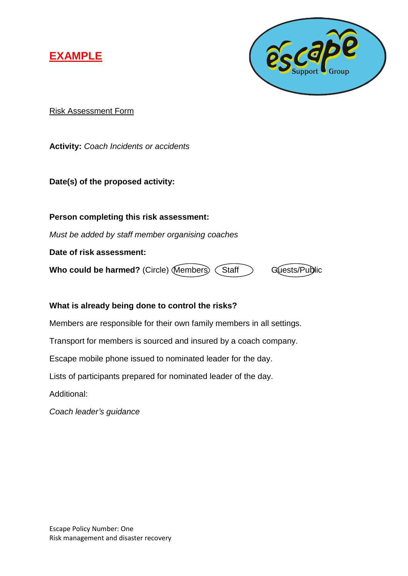



Risk Assessment Form

**Activity:** *Coach Incidents or accidents*

**Date(s) of the proposed activity:**

**Person completing this risk assessment:**

*Must be added by staff member organising coaches*

**Date of risk assessment:**

**Who could be harmed?** (Circle) Members (Staff Guests/Public

# **What is already being done to control the risks?**

Members are responsible for their own family members in all settings.

Transport for members is sourced and insured by a coach company.

Escape mobile phone issued to nominated leader for the day.

Lists of participants prepared for nominated leader of the day.

Additional:

*Coach leader's guidance*